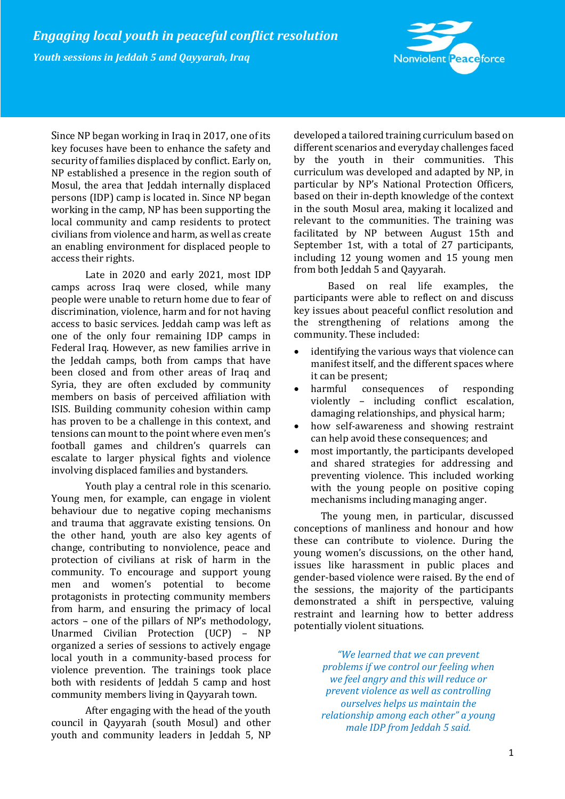

Since NP began working in Iraq in 2017, one of its key focuses have been to enhance the safety and security of families displaced by conflict. Early on, NP established a presence in the region south of Mosul, the area that Jeddah internally displaced persons (IDP) camp is located in. Since NP began working in the camp, NP has been supporting the local community and camp residents to protect civilians from violence and harm, as well as create an enabling environment for displaced people to access their rights.

Late in 2020 and early 2021, most IDP camps across Iraq were closed, while many people were unable to return home due to fear of discrimination, violence, harm and for not having access to basic services. Jeddah camp was left as one of the only four remaining IDP camps in Federal Iraq. However, as new families arrive in the Jeddah camps, both from camps that have been closed and from other areas of Iraq and Syria, they are often excluded by community members on basis of perceived affiliation with ISIS. Building community cohesion within camp has proven to be a challenge in this context, and tensions can mount to the point where even men's football games and children's quarrels can escalate to larger physical fights and violence involving displaced families and bystanders.

Youth play a central role in this scenario. Young men, for example, can engage in violent behaviour due to negative coping mechanisms and trauma that aggravate existing tensions. On the other hand, youth are also key agents of change, contributing to nonviolence, peace and protection of civilians at risk of harm in the community. To encourage and support young men and women's potential to become protagonists in protecting community members from harm, and ensuring the primacy of local actors – one of the pillars of NP's methodology, Unarmed Civilian Protection (UCP) – NP organized a series of sessions to actively engage local youth in a community-based process for violence prevention. The trainings took place both with residents of Jeddah 5 camp and host community members living in Qayyarah town.

After engaging with the head of the youth council in Qayyarah (south Mosul) and other youth and community leaders in Jeddah 5, NP developed a tailored training curriculum based on different scenarios and everyday challenges faced by the youth in their communities. This curriculum was developed and adapted by NP, in particular by NP's National Protection Officers, based on their in-depth knowledge of the context in the south Mosul area, making it localized and relevant to the communities. The training was facilitated by NP between August 15th and September 1st, with a total of 27 participants, including 12 young women and 15 young men from both Jeddah 5 and Qayyarah.

Based on real life examples, the participants were able to reflect on and discuss key issues about peaceful conflict resolution and the strengthening of relations among the community. These included:

- identifying the various ways that violence can manifest itself, and the different spaces where it can be present;
- harmful consequences of responding violently – including conflict escalation, damaging relationships, and physical harm;
- how self-awareness and showing restraint can help avoid these consequences; and
- most importantly, the participants developed and shared strategies for addressing and preventing violence. This included working with the young people on positive coping mechanisms including managing anger.

The young men, in particular, discussed conceptions of manliness and honour and how these can contribute to violence. During the young women's discussions, on the other hand, issues like harassment in public places and gender-based violence were raised. By the end of the sessions, the majority of the participants demonstrated a shift in perspective, valuing restraint and learning how to better address potentially violent situations.

> *"We learned that we can prevent problems if we control our feeling when we feel angry and this will reduce or prevent violence as well as controlling ourselves helps us maintain the relationship among each other" a young male IDP from Jeddah 5 said.*